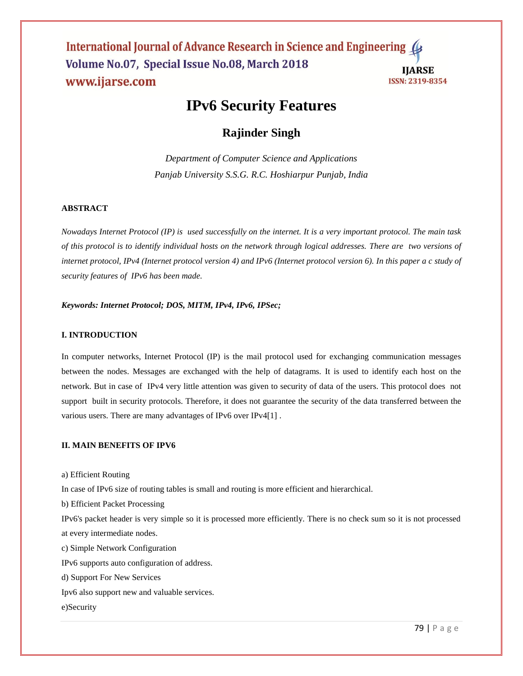International Journal of Advance Research in Science and Engineering ( Volume No.07, Special Issue No.08, March 2018 **IJARSE** www.ijarse.com ISSN: 2319-8354

# **IPv6 Security Features**

## **Rajinder Singh**

*Department of Computer Science and Applications Panjab University S.S.G. R.C. Hoshiarpur Punjab, India*

## **ABSTRACT**

*Nowadays Internet Protocol (IP) is used successfully on the internet. It is a very important protocol. The main task of this protocol is to identify individual hosts on the network through logical addresses. There are two versions of internet protocol, IPv4 (Internet protocol version 4) and IPv6 (Internet protocol version 6). In this paper a c study of security features of IPv6 has been made.* 

#### *Keywords: Internet Protocol; DOS, MITM, IPv4, IPv6, IPSec;*

#### **I. INTRODUCTION**

In computer networks, Internet Protocol (IP) is the mail protocol used for exchanging communication messages between the nodes. Messages are exchanged with the help of datagrams. It is used to identify each host on the network. But in case of IPv4 very little attention was given to security of data of the users. This protocol does not support built in security protocols. Therefore, it does not guarantee the security of the data transferred between the various users. There are many advantages of IPv6 over IPv4[1] .

#### **II. MAIN BENEFITS OF IPV6**

a) Efficient Routing

In case of IPv6 size of routing tables is small and routing is more efficient and hierarchical.

b) Efficient Packet Processing

IPv6's packet header is very simple so it is processed more efficiently. There is no check sum so it is not processed at every intermediate nodes.

c) Simple Network Configuration

IPv6 supports auto configuration of address.

d) Support For New Services

Ipv6 also support new and valuable services.

#### e)Security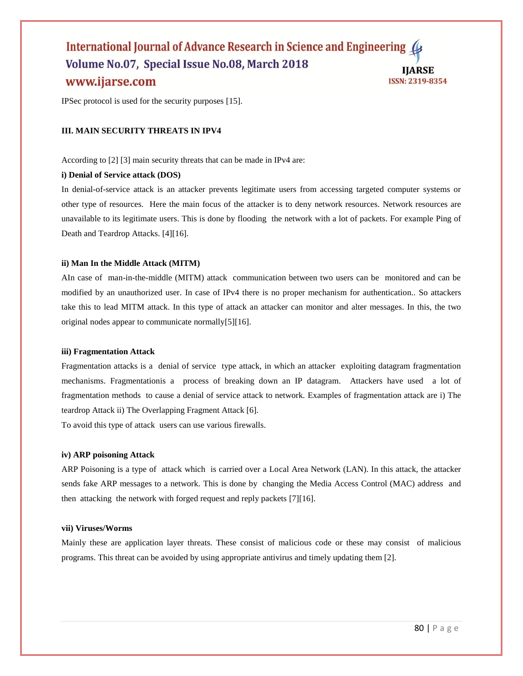## International Journal of Advance Research in Science and Engineering Volume No.07, Special Issue No.08, March 2018 **IJARSE** www.ijarse.com ISSN: 2319-8354

IPSec protocol is used for the security purposes [15].

## **III. MAIN SECURITY THREATS IN IPV4**

According to [2] [3] main security threats that can be made in IPv4 are:

#### **i) Denial of Service attack (DOS)**

In denial-of-service attack is an attacker prevents legitimate users from accessing targeted computer systems or other type of resources. Here the main focus of the attacker is to deny network resources. Network resources are unavailable to its legitimate users. This is done by flooding the network with a lot of packets. For example Ping of Death and Teardrop Attacks. [4][16].

#### **ii) Man In the Middle Attack (MITM)**

AIn case of man-in-the-middle (MITM) attack communication between two users can be monitored and can be modified by an unauthorized user. In case of IPv4 there is no proper mechanism for authentication.. So attackers take this to lead MITM attack. In this type of attack an attacker can monitor and alter messages. In this, the two original nodes appear to communicate normally[5][16].

#### **iii) Fragmentation Attack**

Fragmentation attacks is a denial of service type attack, in which an attacker exploiting datagram fragmentation mechanisms. Fragmentationis a process of breaking down an IP datagram. Attackers have used a lot of fragmentation methods to cause a denial of service attack to network. Examples of fragmentation attack are i) The teardrop Attack ii) The Overlapping Fragment Attack [6].

To avoid this type of attack users can use various firewalls.

#### **iv) ARP poisoning Attack**

ARP Poisoning is a type of attack which is carried over a Local Area Network (LAN). In this attack, the attacker sends fake ARP messages to a network. This is done by changing the Media Access Control (MAC) address and then attacking the network with forged request and reply packets [7][16].

#### **vii) Viruses/Worms**

Mainly these are application layer threats. These consist of malicious code or these may consist of malicious programs. This threat can be avoided by using appropriate antivirus and timely updating them [2].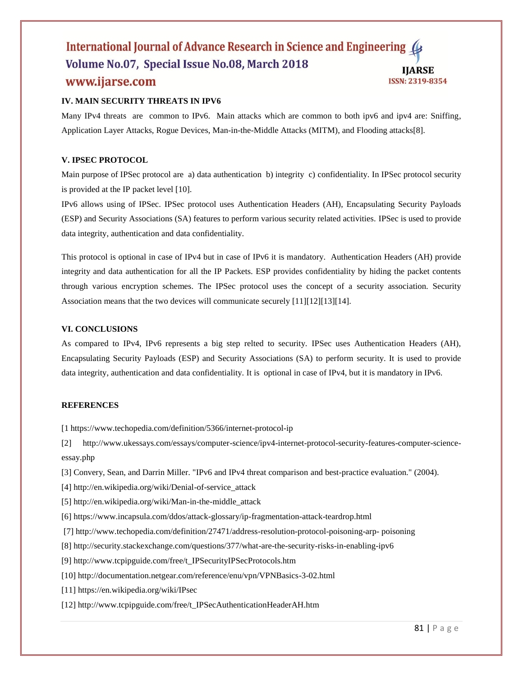## International Journal of Advance Research in Science and Engineering Volume No.07, Special Issue No.08, March 2018 **IJARSE** www.ijarse.com ISSN: 2319-8354

## **IV. MAIN SECURITY THREATS IN IPV6**

Many IPv4 threats are common to IPv6. Main attacks which are common to both ipv6 and ipv4 are: Sniffing, Application Layer Attacks, Rogue Devices, Man-in-the-Middle Attacks (MITM), and Flooding attacks[8].

## **V. IPSEC PROTOCOL**

Main purpose of IPSec protocol are a) data authentication b) integrity c) confidentiality. In IPSec protocol security is provided at the IP packet level [10].

IPv6 allows using of IPSec. IPSec protocol uses Authentication Headers (AH), Encapsulating Security Payloads (ESP) and Security Associations (SA) features to perform various security related activities. IPSec is used to provide data integrity, authentication and data confidentiality.

This protocol is optional in case of IPv4 but in case of IPv6 it is mandatory. Authentication Headers (AH) provide integrity and data authentication for all the IP Packets. ESP provides confidentiality by hiding the packet contents through various encryption schemes. The IPSec protocol uses the concept of a security association. Security Association means that the two devices will communicate securely [11][12][13][14].

## **VI. CONCLUSIONS**

As compared to IPv4, IPv6 represents a big step relted to security. IPSec uses Authentication Headers (AH), Encapsulating Security Payloads (ESP) and Security Associations (SA) to perform security. It is used to provide data integrity, authentication and data confidentiality. It is optional in case of IPv4, but it is mandatory in IPv6.

## **REFERENCES**

[1 https://www.techopedia.com/definition/5366/internet-protocol-ip

[2] http://www.ukessays.com/essays/computer-science/ipv4-internet-protocol-security-features-computer-scienceessay.php

- [3] Convery, Sean, and Darrin Miller. "IPv6 and IPv4 threat comparison and best-practice evaluation." (2004).
- [4] http://en.wikipedia.org/wiki/Denial-of-service\_attack
- [5] http://en.wikipedia.org/wiki/Man-in-the-middle\_attack
- [6] https://www.incapsula.com/ddos/attack-glossary/ip-fragmentation-attack-teardrop.html
- [7] http://www.techopedia.com/definition/27471/address-resolution-protocol-poisoning-arp- poisoning
- [8] http://security.stackexchange.com/questions/377/what-are-the-security-risks-in-enabling-ipv6
- [9] http://www.tcpipguide.com/free/t\_IPSecurityIPSecProtocols.htm
- [10] http://documentation.netgear.com/reference/enu/vpn/VPNBasics-3-02.html
- [11] https://en.wikipedia.org/wiki/IPsec
- [12] http://www.tcpipguide.com/free/t\_IPSecAuthenticationHeaderAH.htm